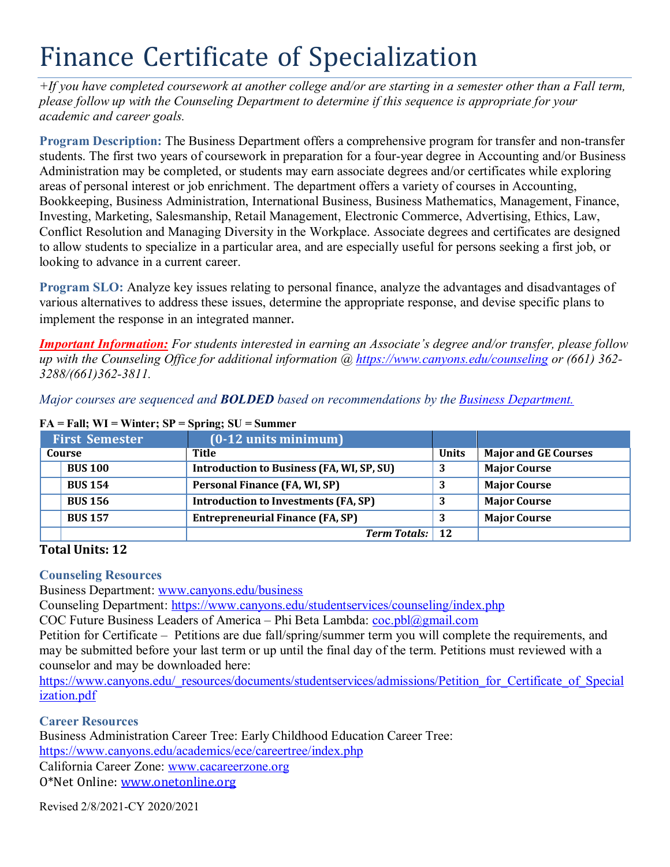## Finance Certificate of Specialization

*+If you have completed coursework at another college and/or are starting in a semester other than a Fall term, please follow up with the Counseling Department to determine if this sequence is appropriate for your academic and career goals.*

**Program Description:** The Business Department offers a comprehensive program for transfer and non-transfer students. The first two years of coursework in preparation for a four-year degree in Accounting and/or Business Administration may be completed, or students may earn associate degrees and/or certificates while exploring areas of personal interest or job enrichment. The department offers a variety of courses in Accounting, Bookkeeping, Business Administration, International Business, Business Mathematics, Management, Finance, Investing, Marketing, Salesmanship, Retail Management, Electronic Commerce, Advertising, Ethics, Law, Conflict Resolution and Managing Diversity in the Workplace. Associate degrees and certificates are designed to allow students to specialize in a particular area, and are especially useful for persons seeking a first job, or looking to advance in a current career.

**Program SLO:** Analyze key issues relating to personal finance, analyze the advantages and disadvantages of various alternatives to address these issues, determine the appropriate response, and devise specific plans to implement the response in an integrated manner.

*Important Information: For students interested in earning an Associate's degree and/or transfer, please follow up with the Counseling Office for additional information @ https:/[/www.canyons.edu/counseling](http://www.canyons.edu/counseling) or (661) 362- 3288/(661)362-3811.*

*Major courses are sequenced and BOLDED based on recommendations by the Business Department.*

| <b>First Semester</b> |                | $(0-12$ units minimum)                      |              |                             |
|-----------------------|----------------|---------------------------------------------|--------------|-----------------------------|
| Course                |                | Title                                       | <b>Units</b> | <b>Major and GE Courses</b> |
|                       | <b>BUS 100</b> | Introduction to Business (FA, WI, SP, SU)   |              | <b>Major Course</b>         |
|                       | <b>BUS 154</b> | Personal Finance (FA, WI, SP)               |              | <b>Major Course</b>         |
|                       | <b>BUS 156</b> | <b>Introduction to Investments (FA, SP)</b> |              | <b>Major Course</b>         |
|                       | <b>BUS 157</b> | <b>Entrepreneurial Finance (FA, SP)</b>     |              | <b>Major Course</b>         |
|                       |                | <b>Term Totals:</b> 12                      |              |                             |

## **FA = Fall; WI = Winter; SP = Spring; SU = Summer**

## **Total Units: 12**

## **Counseling Resources**

Business Department: [www.canyons.edu/business](http://www.canyons.edu/business)

Counseling Department: https:/[/www.canyons.edu/studentservices/counseling/index.php](http://www.canyons.edu/studentservices/counseling/index.php)

COC Future Business Leaders of America – Phi Beta Lambda: [coc.pbl@gmail.com](mailto:coc.pbl@gmail.com)

Petition for Certificate – Petitions are due fall/spring/summer term you will complete the requirements, and may be submitted before your last term or up until the final day of the term. Petitions must reviewed with a counselor and may be downloaded here:

http[s://www.canyons.edu/\\_resources/documents/studentservices/admissions/Petition\\_for\\_Certificate\\_of\\_Special](http://www.canyons.edu/_resources/documents/studentservices/admissions/Petition_for_Certificate_of_Special) ization.pdf

**Career Resources**

Business Administration Career Tree: Early Childhood Education Career Tree: https:/[/www.canyons.edu/academics/ece/careertree/index.php](http://www.canyons.edu/academics/ece/careertree/index.php) California Career Zone: [www.cacareerzone.org](http://www.cacareerzone.org/)

O\*Net Online: [www.onetonline.org](http://www.onetonline.org/)

Revised 2/8/2021-CY 2020/2021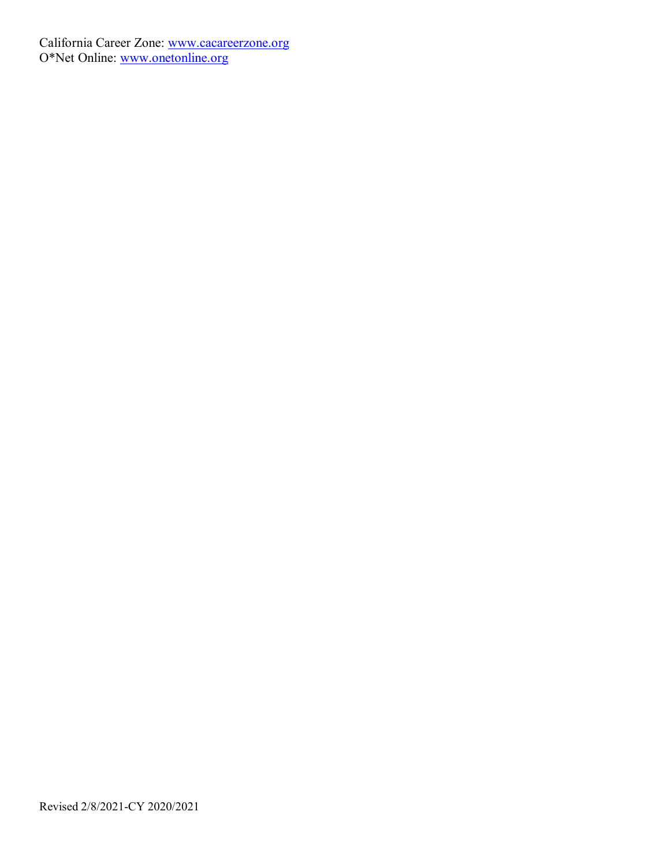California Career Zone: [www.cacareerzone.org](http://www.cacareerzone.org/) O\*Net Online: [www.onetonline.org](http://www.onetonline.org/)